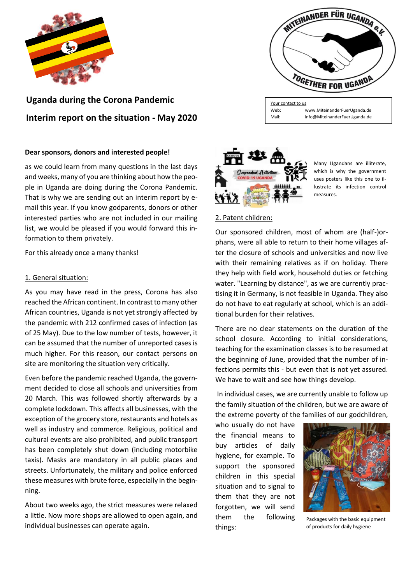

**Uganda during the Corona Pandemic Interim report on the situation - May 2020**

### **Dear sponsors, donors and interested people!**

as we could learn from many questions in the last days and weeks, many of you are thinking about how the people in Uganda are doing during the Corona Pandemic. That is why we are sending out an interim report by email this year. If you know godparents, donors or other interested parties who are not included in our mailing list, we would be pleased if you would forward this information to them privately.

For this already once a many thanks!

# 1. General situation:

As you may have read in the press, Corona has also reached the African continent. In contrast to many other African countries, Uganda is not yet strongly affected by the pandemic with 212 confirmed cases of infection (as of 25 May). Due to the low number of tests, however, it can be assumed that the number of unreported cases is much higher. For this reason, our contact persons on site are monitoring the situation very critically.

Even before the pandemic reached Uganda, the government decided to close all schools and universities from 20 March. This was followed shortly afterwards by a complete lockdown. This affects all businesses, with the exception of the grocery store, restaurants and hotels as well as industry and commerce. Religious, political and cultural events are also prohibited, and public transport has been completely shut down (including motorbike taxis). Masks are mandatory in all public places and streets. Unfortunately, the military and police enforced these measures with brute force, especially in the beginning.

About two weeks ago, the strict measures were relaxed a little. Now more shops are allowed to open again, and individual businesses can operate again.



Your contact to us Web: [www.MiteinanderFuerUganda.de](http://www.miteinanderfueruganda.de/) Mail: info[@MiteinanderFuerUganda.de](mailto:MiteinanderFuerUganda@yahoo.de)



Many Ugandans are illiterate, which is why the government uses posters like this one to illustrate its infection control measures.

#### 2. Patent children:

Our sponsored children, most of whom are (half-)orphans, were all able to return to their home villages after the closure of schools and universities and now live with their remaining relatives as if on holiday. There they help with field work, household duties or fetching water. "Learning by distance", as we are currently practising it in Germany, is not feasible in Uganda. They also do not have to eat regularly at school, which is an additional burden for their relatives.

There are no clear statements on the duration of the school closure. According to initial considerations, teaching for the examination classes is to be resumed at the beginning of June, provided that the number of infections permits this - but even that is not yet assured. We have to wait and see how things develop.

In individual cases, we are currently unable to follow up the family situation of the children, but we are aware of the extreme poverty of the families of our godchildren,

who usually do not have the financial means to buy articles of daily hygiene, for example. To support the sponsored children in this special situation and to signal to them that they are not forgotten, we will send them the following things:



Packages with the basic equipment of products for daily hygiene